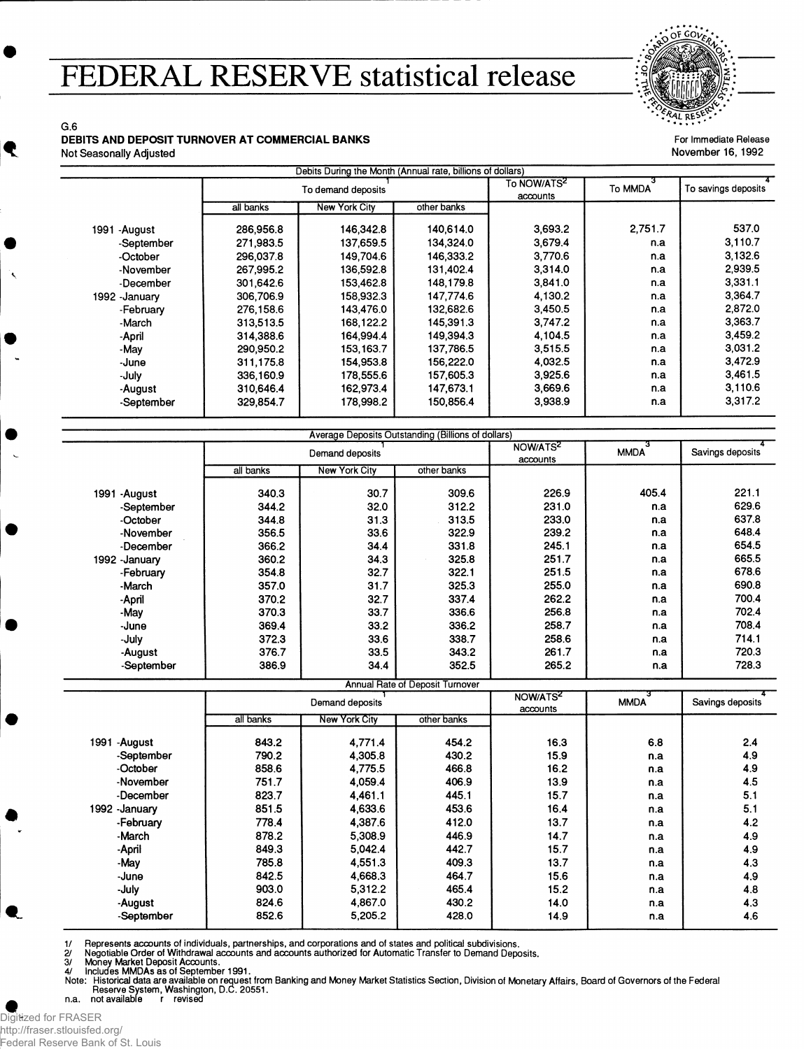## **FEDERAL RESERVE statistical release**

9L RE

For Immediate Release November 16,1992

## G.6 **DEBITS AND DEPOSIT TURNOVER AT COMMERCIAL BANKS**

Not Seasonally Adjusted

|                 | To demand deposits |                      |             | To NOW/ATS <sup>2</sup><br>accounts | To MMDA | To savings deposits |
|-----------------|--------------------|----------------------|-------------|-------------------------------------|---------|---------------------|
|                 | all banks          | <b>New York City</b> | other banks |                                     |         |                     |
| 1991<br>-August | 286,956.8          | 146,342.8            | 140.614.0   | 3,693.2                             | 2,751.7 | 537.0               |
| -September      | 271,983.5          | 137,659.5            | 134,324.0   | 3,679.4                             | n.a     | 3,110.7             |
| -October        | 296,037.8          | 149.704.6            | 146,333.2   | 3.770.6                             | n.a     | 3,132.6             |
| -November       | 267,995.2          | 136,592.8            | 131,402.4   | 3,314.0                             | n.a     | 2,939.5             |
| -December       | 301,642.6          | 153.462.8            | 148.179.8   | 3,841.0                             | n.a     | 3,331.1             |
| 1992 - January  | 306,706.9          | 158.932.3            | 147.774.6   | 4,130.2                             | n.a     | 3,364.7             |
| -February       | 276,158.6          | 143,476.0            | 132.682.6   | 3,450.5                             | n.a     | 2,872.0             |
| -March          | 313,513.5          | 168,122.2            | 145,391.3   | 3,747.2                             | n.a     | 3,363.7             |
| -April          | 314.388.6          | 164,994.4            | 149,394.3   | 4,104.5                             | n.a     | 3,459.2             |
| -May            | 290,950.2          | 153, 163.7           | 137,786.5   | 3,515.5                             | n.a     | 3,031.2             |
| -June           | 311.175.8          | 154,953.8            | 156,222.0   | 4,032.5                             | n.a     | 3,472.9             |
| -July           | 336,160.9          | 178,555.6            | 157,605.3   | 3,925.6                             | n.a     | 3,461.5             |
| -August         | 310,646.4          | 162,973.4            | 147,673.1   | 3,669.6                             | n.a     | 3,110.6             |
| -September      | 329,854.7          | 178,998.2            | 150,856.4   | 3,938.9                             | n.a     | 3,317.2             |

|                 |                 | Average Deposits Outstanding (Billions of dollars) |                                        |                                  |             |                  |
|-----------------|-----------------|----------------------------------------------------|----------------------------------------|----------------------------------|-------------|------------------|
|                 | Demand deposits |                                                    |                                        | NOW/ATS <sup>2</sup><br>accounts | <b>MMDA</b> | Savings deposits |
|                 | all banks       | <b>New York City</b>                               | other banks                            |                                  |             |                  |
| -August<br>1991 | 340.3           | 30.7                                               | 309.6                                  | 226.9                            | 405.4       | 221.1            |
| -September      | 344.2           | 32.0                                               | 312.2                                  | 231.0                            | n.a         | 629.6            |
| -October        | 344.8           | 31.3                                               | 313.5                                  | 233.0                            | n.a         | 637.8            |
| -November       | 356.5           | 33.6                                               | 322.9                                  | 239.2                            | n.a         | 648.4            |
| -December       | 366.2           | 34.4                                               | 331.8                                  | 245.1                            | n.a         | 654.5            |
| 1992 -January   | 360.2           | 34.3                                               | 325.8                                  | 251.7                            | n.a         | 665.5            |
| -February       | 354.8           | 32.7                                               | 322.1                                  | 251.5                            | n.a         | 678.6            |
| -March          | 357.0           | 31.7                                               | 325.3                                  | 255.0                            | n.a         | 690.8            |
| -April          | 370.2           | 32.7                                               | 337.4                                  | 262.2                            | n.a         | 700.4            |
| -May            | 370.3           | 33.7                                               | 336.6                                  | 256.8                            | n.a         | 702.4            |
| -June           | 369.4           | 33.2                                               | 336.2                                  | 258.7                            | n.a         | 708.4            |
| -July           | 372.3           | 33.6                                               | 338.7                                  | 258.6                            | n.a         | 714.1            |
| -August         | 376.7           | 33.5                                               | 343.2                                  | 261.7                            | n.a         | 720.3            |
| -September      | 386.9           | 34.4                                               | 352.5                                  | 265.2                            | n.a         | 728.3            |
|                 |                 |                                                    | <b>Annual Rate of Deposit Turnover</b> |                                  |             |                  |

|                | Demand deposits |                      |             | NOW/ATS <sup>2</sup><br>accounts | <b>MMDA</b> | Savings deposits |  |
|----------------|-----------------|----------------------|-------------|----------------------------------|-------------|------------------|--|
|                | all banks       | <b>New York City</b> | other banks |                                  |             |                  |  |
| 1991 - August  | 843.2           | 4.771.4              | 454.2       | 16.3                             | 6.8         | 2.4              |  |
| -September     | 790.2           | 4,305.8              | 430.2       | 15.9                             | n.a         | 4.9              |  |
| -October       | 858.6           | 4,775.5              | 466.8       | 16.2                             | n.a         | 4.9              |  |
| -November      | 751.7           | 4,059.4              | 406.9       | 13.9                             | n.a         | 4.5              |  |
| -December      | 823.7           | 4.461.1              | 445.1       | 15.7                             | n.a         | 5.1              |  |
| 1992 - January | 851.5           | 4,633.6              | 453.6       | 16.4                             | n.a         | 5.1              |  |
| -February      | 778.4           | 4.387.6              | 412.0       | 13.7                             | n.a         | 4.2              |  |
| -March         | 878.2           | 5,308.9              | 446.9       | 14.7                             | n.a         | 4.9              |  |
| -April         | 849.3           | 5.042.4              | 442.7       | 15.7                             | n.a         | 4.9              |  |
| -May           | 785.8           | 4,551.3              | 409.3       | 13.7                             | n.a         | 4.3              |  |
| -June          | 842.5           | 4,668.3              | 464.7       | 15.6                             | n.a         | 4.9              |  |
| -July          | 903.0           | 5,312.2              | 465.4       | 15.2                             | n.a         | 4.8              |  |
| -August        | 824.6           | 4.867.0              | 430.2       | 14.0                             | n.a         | 4.3              |  |
| -September     | 852.6           | 5,205.2              | 428.0       | 14.9                             | n.a         | 4.6              |  |

1/ Represents accounts of individuals, partnerships, and corporations and of states and political subdivisions.<br>2/ Negotiable Order of Withdrawal accounts and accounts authorized for Automatic Transfer to Demand Deposits.<br>

Digitized for FRASER http://fraser.stlouisfed.org/

Federal Reserve Bank of St. Louis